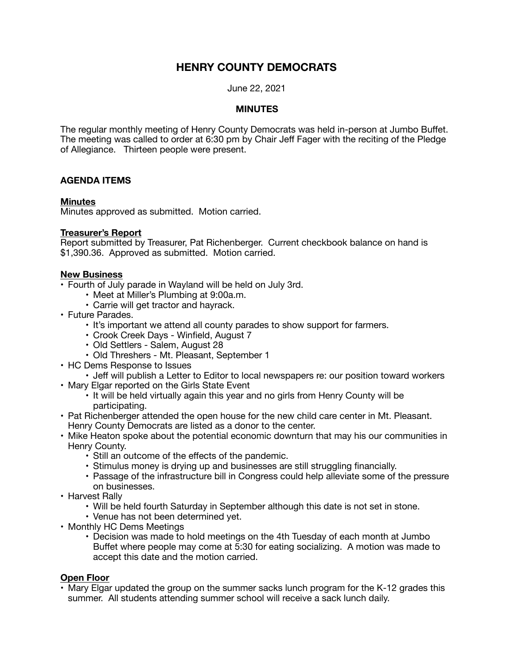# **HENRY COUNTY DEMOCRATS**

June 22, 2021

#### **MINUTES**

The regular monthly meeting of Henry County Democrats was held in-person at Jumbo Buffet. The meeting was called to order at 6:30 pm by Chair Jeff Fager with the reciting of the Pledge of Allegiance. Thirteen people were present.

## **AGENDA ITEMS**

#### **Minutes**

Minutes approved as submitted. Motion carried.

## **Treasurer's Report**

Report submitted by Treasurer, Pat Richenberger. Current checkbook balance on hand is \$1,390.36. Approved as submitted. Motion carried.

#### **New Business**

- Fourth of July parade in Wayland will be held on July 3rd.
	- Meet at Miller's Plumbing at 9:00a.m.
	- Carrie will get tractor and hayrack.
- Future Parades.
	- It's important we attend all county parades to show support for farmers.
	- Crook Creek Days Winfield, August 7
	- Old Settlers Salem, August 28
	- Old Threshers Mt. Pleasant, September 1
- HC Dems Response to Issues
- Jeff will publish a Letter to Editor to local newspapers re: our position toward workers • Mary Elgar reported on the Girls State Event
	- It will be held virtually again this year and no girls from Henry County will be participating.
- Pat Richenberger attended the open house for the new child care center in Mt. Pleasant. Henry County Democrats are listed as a donor to the center.
- Mike Heaton spoke about the potential economic downturn that may his our communities in Henry County.
	- Still an outcome of the effects of the pandemic.
	- Stimulus money is drying up and businesses are still struggling financially.
	- Passage of the infrastructure bill in Congress could help alleviate some of the pressure on businesses.
- Harvest Rally
	- Will be held fourth Saturday in September although this date is not set in stone.
	- Venue has not been determined yet.
- Monthly HC Dems Meetings
	- Decision was made to hold meetings on the 4th Tuesday of each month at Jumbo Buffet where people may come at 5:30 for eating socializing. A motion was made to accept this date and the motion carried.

# **Open Floor**

• Mary Elgar updated the group on the summer sacks lunch program for the K-12 grades this summer. All students attending summer school will receive a sack lunch daily.